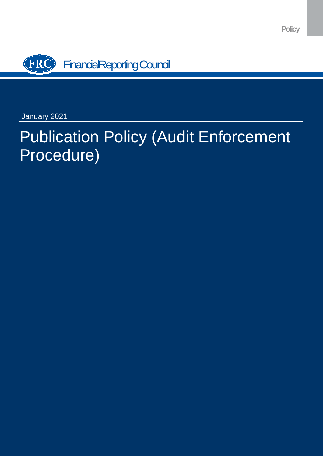**Policy**



January 2021

# Publication Policy (Audit Enforcement Procedure)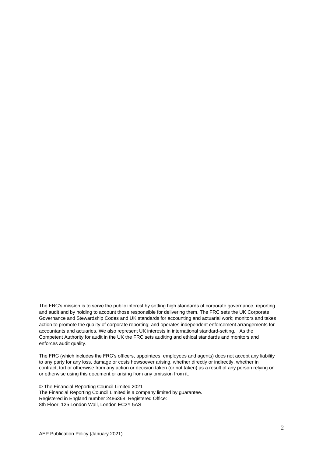The FRC's mission is to serve the public interest by setting high standards of corporate governance, reporting and audit and by holding to account those responsible for delivering them. The FRC sets the UK Corporate Governance and Stewardship Codes and UK standards for accounting and actuarial work; monitors and takes action to promote the quality of corporate reporting; and operates independent enforcement arrangements for accountants and actuaries. We also represent UK interests in international standard-setting. As the Competent Authority for audit in the UK the FRC sets auditing and ethical standards and monitors and enforces audit quality.

The FRC (which includes the FRC's officers, appointees, employees and agents) does not accept any liability to any party for any loss, damage or costs howsoever arising, whether directly or indirectly, whether in contract, tort or otherwise from any action or decision taken (or not taken) as a result of any person relying on or otherwise using this document or arising from any omission from it.

© The Financial Reporting Council Limited 2021 The Financial Reporting Council Limited is a company limited by guarantee. Registered in England number 2486368. Registered Office: 8th Floor, 125 London Wall, London EC2Y 5AS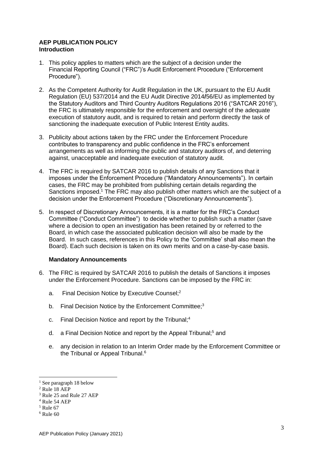## **AEP PUBLICATION POLICY Introduction**

- 1. This policy applies to matters which are the subject of a decision under the Financial Reporting Council ("FRC")'s Audit Enforcement Procedure ("Enforcement Procedure").
- 2. As the Competent Authority for Audit Regulation in the UK, pursuant to the EU Audit Regulation (EU) 537/2014 and the EU Audit Directive 2014**/**56/EU as implemented by the Statutory Auditors and Third Country Auditors Regulations 2016 ("SATCAR 2016"), the FRC is ultimately responsible for the enforcement and oversight of the adequate execution of statutory audit, and is required to retain and perform directly the task of sanctioning the inadequate execution of Public Interest Entity audits.
- 3. Publicity about actions taken by the FRC under the Enforcement Procedure contributes to transparency and public confidence in the FRC's enforcement arrangements as well as informing the public and statutory auditors of, and deterring against, unacceptable and inadequate execution of statutory audit.
- 4. The FRC is required by SATCAR 2016 to publish details of any Sanctions that it imposes under the Enforcement Procedure ("Mandatory Announcements"). In certain cases, the FRC may be prohibited from publishing certain details regarding the Sanctions imposed.<sup>1</sup> The FRC may also publish other matters which are the subject of a decision under the Enforcement Procedure ("Discretionary Announcements").
- 5. In respect of Discretionary Announcements, it is a matter for the FRC's Conduct Committee ("Conduct Committee") to decide whether to publish such a matter (save where a decision to open an investigation has been retained by or referred to the Board, in which case the associated publication decision will also be made by the Board. In such cases, references in this Policy to the 'Committee' shall also mean the Board). Each such decision is taken on its own merits and on a case-by-case basis.

# **Mandatory Announcements**

- 6. The FRC is required by SATCAR 2016 to publish the details of Sanctions it imposes under the Enforcement Procedure. Sanctions can be imposed by the FRC in:
	- a. Final Decision Notice by Executive Counsel;<sup>2</sup>
	- b. Final Decision Notice by the Enforcement Committee;<sup>3</sup>
	- c. Final Decision Notice and report by the Tribunal;<sup>4</sup>
	- d. a Final Decision Notice and report by the Appeal Tribunal;<sup>5</sup> and
	- e. any decision in relation to an Interim Order made by the Enforcement Committee or the Tribunal or Appeal Tribunal.<sup>6</sup>

<sup>&</sup>lt;sup>1</sup> See paragraph 18 below

<sup>&</sup>lt;sup>2</sup> Rule 18 AEP

<sup>3</sup> Rule 25 and Rule 27 AEP

 $4$  Rule 54 AEP

 $<sup>5</sup>$  Rule 67</sup>

 $6$  Rule 60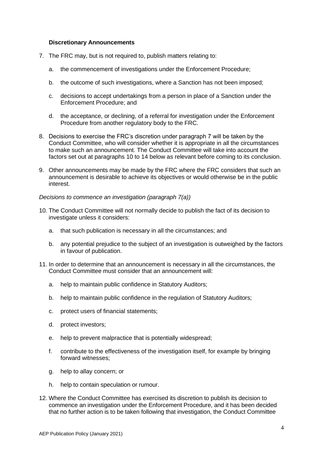## **Discretionary Announcements**

- 7. The FRC may, but is not required to, publish matters relating to:
	- a. the commencement of investigations under the Enforcement Procedure;
	- b. the outcome of such investigations, where a Sanction has not been imposed;
	- c. decisions to accept undertakings from a person in place of a Sanction under the Enforcement Procedure; and
	- d. the acceptance, or declining, of a referral for investigation under the Enforcement Procedure from another regulatory body to the FRC.
- 8. Decisions to exercise the FRC's discretion under paragraph 7 will be taken by the Conduct Committee, who will consider whether it is appropriate in all the circumstances to make such an announcement. The Conduct Committee will take into account the factors set out at paragraphs 10 to 14 below as relevant before coming to its conclusion.
- 9. Other announcements may be made by the FRC where the FRC considers that such an announcement is desirable to achieve its objectives or would otherwise be in the public interest.

# *Decisions to commence an investigation (paragraph 7(a))*

- 10. The Conduct Committee will not normally decide to publish the fact of its decision to investigate unless it considers:
	- a. that such publication is necessary in all the circumstances; and
	- b. any potential prejudice to the subject of an investigation is outweighed by the factors in favour of publication.
- 11. In order to determine that an announcement is necessary in all the circumstances, the Conduct Committee must consider that an announcement will:
	- a. help to maintain public confidence in Statutory Auditors;
	- b. help to maintain public confidence in the regulation of Statutory Auditors;
	- c. protect users of financial statements;
	- d. protect investors;
	- e. help to prevent malpractice that is potentially widespread;
	- f. contribute to the effectiveness of the investigation itself, for example by bringing forward witnesses;
	- g. help to allay concern; or
	- h. help to contain speculation or rumour.
- 12. Where the Conduct Committee has exercised its discretion to publish its decision to commence an investigation under the Enforcement Procedure, and it has been decided that no further action is to be taken following that investigation, the Conduct Committee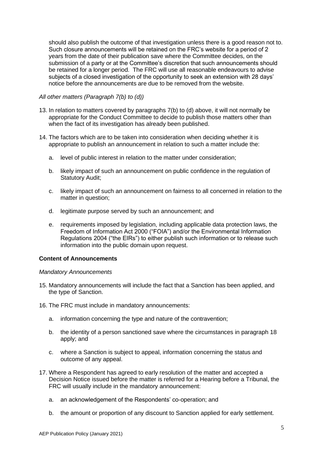should also publish the outcome of that investigation unless there is a good reason not to. Such closure announcements will be retained on the FRC's website for a period of 2 years from the date of their publication save where the Committee decides, on the submission of a party or at the Committee's discretion that such announcements should be retained for a longer period. The FRC will use all reasonable endeavours to advise subjects of a closed investigation of the opportunity to seek an extension with 28 days' notice before the announcements are due to be removed from the website.

## *All other matters (Paragraph 7(b) to (d))*

- 13. In relation to matters covered by paragraphs 7(b) to (d) above, it will not normally be appropriate for the Conduct Committee to decide to publish those matters other than when the fact of its investigation has already been published.
- 14. The factors which are to be taken into consideration when deciding whether it is appropriate to publish an announcement in relation to such a matter include the:
	- a. level of public interest in relation to the matter under consideration;
	- b. likely impact of such an announcement on public confidence in the regulation of Statutory Audit;
	- c. likely impact of such an announcement on fairness to all concerned in relation to the matter in question;
	- d. legitimate purpose served by such an announcement; and
	- e. requirements imposed by legislation, including applicable data protection laws, the Freedom of Information Act 2000 ("FOIA") and/or the Environmental Information Regulations 2004 ("the EIRs") to either publish such information or to release such information into the public domain upon request.

## **Content of Announcements**

## *Mandatory Announcements*

- 15. Mandatory announcements will include the fact that a Sanction has been applied, and the type of Sanction.
- 16. The FRC must include in mandatory announcements:
	- a. information concerning the type and nature of the contravention;
	- b. the identity of a person sanctioned save where the circumstances in paragraph 18 apply; and
	- c. where a Sanction is subject to appeal, information concerning the status and outcome of any appeal.
- 17. Where a Respondent has agreed to early resolution of the matter and accepted a Decision Notice issued before the matter is referred for a Hearing before a Tribunal, the FRC will usually include in the mandatory announcement:
	- a. an acknowledgement of the Respondents' co-operation; and
	- b. the amount or proportion of any discount to Sanction applied for early settlement.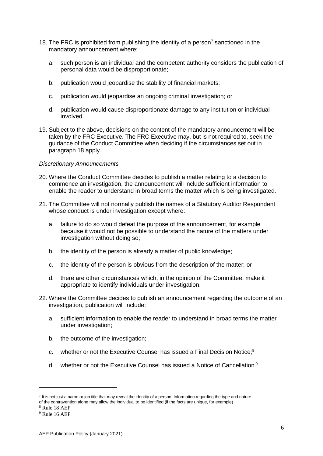- 18. The FRC is prohibited from publishing the identity of a person<sup>7</sup> sanctioned in the mandatory announcement where:
	- a. such person is an individual and the competent authority considers the publication of personal data would be disproportionate;
	- b. publication would jeopardise the stability of financial markets;
	- c. publication would jeopardise an ongoing criminal investigation; or
	- d. publication would cause disproportionate damage to any institution or individual involved.
- 19. Subject to the above, decisions on the content of the mandatory announcement will be taken by the FRC Executive. The FRC Executive may, but is not required to, seek the guidance of the Conduct Committee when deciding if the circumstances set out in paragraph 18 apply.

## *Discretionary Announcements*

- 20. Where the Conduct Committee decides to publish a matter relating to a decision to commence an investigation, the announcement will include sufficient information to enable the reader to understand in broad terms the matter which is being investigated.
- 21. The Committee will not normally publish the names of a Statutory Auditor Respondent whose conduct is under investigation except where:
	- a. failure to do so would defeat the purpose of the announcement, for example because it would not be possible to understand the nature of the matters under investigation without doing so;
	- b. the identity of the person is already a matter of public knowledge;
	- c. the identity of the person is obvious from the description of the matter; or
	- d. there are other circumstances which, in the opinion of the Committee, make it appropriate to identify individuals under investigation.
- 22. Where the Committee decides to publish an announcement regarding the outcome of an investigation, publication will include:
	- a. sufficient information to enable the reader to understand in broad terms the matter under investigation;
	- b. the outcome of the investigation;
	- c. whether or not the Executive Counsel has issued a Final Decision Notice;<sup>8</sup>
	- d. whether or not the Executive Counsel has issued a Notice of Cancellation<sup>;9</sup>

<sup>&</sup>lt;sup>7</sup> It is not just a name or job title that may reveal the identity of a person. Information regarding the type and nature of the contravention alone may allow the individual to be identified (if the facts are unique, for example)

<sup>8</sup> Rule 18 AEP

<sup>9</sup> Rule 16 AEP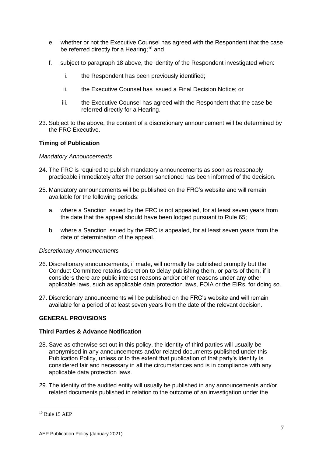- e. whether or not the Executive Counsel has agreed with the Respondent that the case be referred directly for a Hearing;<sup>10</sup> and
- f. subject to paragraph 18 above, the identity of the Respondent investigated when:
	- i. the Respondent has been previously identified;
	- ii. the Executive Counsel has issued a Final Decision Notice; or
	- iii. the Executive Counsel has agreed with the Respondent that the case be referred directly for a Hearing.
- 23. Subject to the above, the content of a discretionary announcement will be determined by the FRC Executive.

## **Timing of Publication**

## *Mandatory Announcements*

- 24. The FRC is required to publish mandatory announcements as soon as reasonably practicable immediately after the person sanctioned has been informed of the decision.
- 25. Mandatory announcements will be published on the FRC's website and will remain available for the following periods:
	- a. where a Sanction issued by the FRC is not appealed, for at least seven years from the date that the appeal should have been lodged pursuant to Rule 65;
	- b. where a Sanction issued by the FRC is appealed, for at least seven years from the date of determination of the appeal.

## *Discretionary Announcements*

- 26. Discretionary announcements, if made, will normally be published promptly but the Conduct Committee retains discretion to delay publishing them, or parts of them, if it considers there are public interest reasons and/or other reasons under any other applicable laws, such as applicable data protection laws, FOIA or the EIRs, for doing so.
- 27. Discretionary announcements will be published on the FRC's website and will remain available for a period of at least seven years from the date of the relevant decision.

# **GENERAL PROVISIONS**

## **Third Parties & Advance Notification**

- 28. Save as otherwise set out in this policy, the identity of third parties will usually be anonymised in any announcements and/or related documents published under this Publication Policy, unless or to the extent that publication of that party's identity is considered fair and necessary in all the circumstances and is in compliance with any applicable data protection laws.
- 29. The identity of the audited entity will usually be published in any announcements and/or related documents published in relation to the outcome of an investigation under the

 $10$  Rule 15 AEP